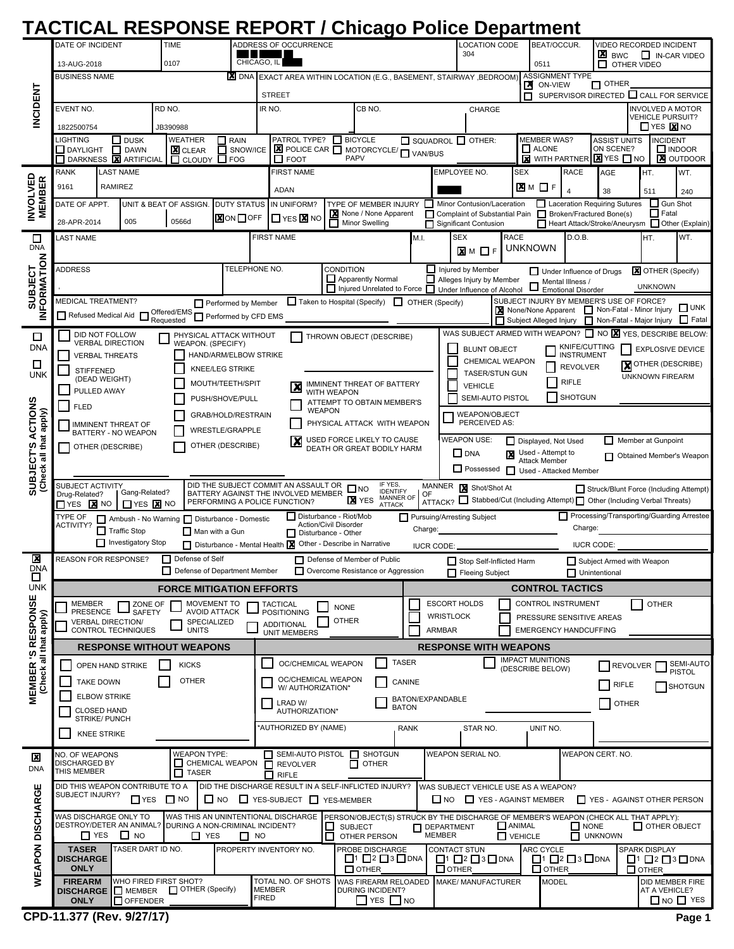## **TACTICAL RESPONSE REPORT / Chicago Police Department**

|                                         | DATE OF INCIDENT                                                                                                                                                                                                                                                                                                                                                                                                                                                                |                                                       | <b>TIME</b>                                            | ADDRESS OF OCCURRENCE                           |                         |                                                                                                            |                                                                              |                     |                                                                  |              |                                         | <b>LOCATION CODE</b><br>304                                               |                                          |                                             | BEAT/OCCUR.                                   |                                                            | VIDEO RECORDED INCIDENT                                                                 |                        |                           |                                                                           |
|-----------------------------------------|---------------------------------------------------------------------------------------------------------------------------------------------------------------------------------------------------------------------------------------------------------------------------------------------------------------------------------------------------------------------------------------------------------------------------------------------------------------------------------|-------------------------------------------------------|--------------------------------------------------------|-------------------------------------------------|-------------------------|------------------------------------------------------------------------------------------------------------|------------------------------------------------------------------------------|---------------------|------------------------------------------------------------------|--------------|-----------------------------------------|---------------------------------------------------------------------------|------------------------------------------|---------------------------------------------|-----------------------------------------------|------------------------------------------------------------|-----------------------------------------------------------------------------------------|------------------------|---------------------------|---------------------------------------------------------------------------|
|                                         | 13-AUG-2018                                                                                                                                                                                                                                                                                                                                                                                                                                                                     | 0107                                                  |                                                        |                                                 | CHICAGO, IL             |                                                                                                            |                                                                              |                     |                                                                  |              |                                         |                                                                           |                                          | 0511                                        |                                               | ×<br>$\Box$ IN-CAR VIDEO<br><b>BWC</b><br>П<br>OTHER VIDEO |                                                                                         |                        |                           |                                                                           |
|                                         | <b>X</b> DNA<br><b>BUSINESS NAME</b>                                                                                                                                                                                                                                                                                                                                                                                                                                            |                                                       |                                                        |                                                 |                         |                                                                                                            | EXACT AREA WITHIN LOCATION (E.G., BASEMENT, STAIRWAY, BEDROOM)               |                     |                                                                  |              |                                         | <b>ASSIGNMENT TYPE</b><br>$\Box$ OTHER<br>ON-VIEW<br>⊠                    |                                          |                                             |                                               |                                                            |                                                                                         |                        |                           |                                                                           |
|                                         |                                                                                                                                                                                                                                                                                                                                                                                                                                                                                 |                                                       |                                                        |                                                 |                         |                                                                                                            | <b>STREET</b>                                                                |                     |                                                                  |              |                                         |                                                                           |                                          | п                                           |                                               |                                                            |                                                                                         |                        |                           | SUPERVISOR DIRECTED CALL FOR SERVICE                                      |
| <b>INCIDENT</b>                         | EVENT NO.                                                                                                                                                                                                                                                                                                                                                                                                                                                                       |                                                       | RD NO.                                                 |                                                 |                         | IR NO.                                                                                                     |                                                                              |                     | CB NO.                                                           |              |                                         |                                                                           | CHARGE                                   |                                             |                                               |                                                            |                                                                                         |                        | <b>VEHICLE PURSUIT?</b>   | <b>INVOLVED A MOTOR</b>                                                   |
|                                         | 1822500754                                                                                                                                                                                                                                                                                                                                                                                                                                                                      |                                                       | JB390988                                               |                                                 |                         |                                                                                                            |                                                                              |                     |                                                                  |              |                                         |                                                                           |                                          |                                             |                                               |                                                            |                                                                                         |                        | $\Box$ YES $\boxtimes$ NO |                                                                           |
|                                         | LIGHTING<br>DAYLIGHT                                                                                                                                                                                                                                                                                                                                                                                                                                                            | $\Box$ DUSK<br>DAWN<br><b>X</b> ARTIFICIAL            |                                                        | WEATHER<br>囗<br><b>X</b> CLEAR                  | $\Box$ RAIN<br>SNOW/ICE |                                                                                                            | PATROL TYPE? BICYCLE<br><b>E</b> POLICE CAR <b>TE MOTORCYCLE/ TE VAN/BUS</b> |                     |                                                                  |              | $\Box$ SQUADROL $\Box$ OTHER:           |                                                                           |                                          |                                             | <b>MEMBER WAS?</b><br>$\Box$ ALONE            |                                                            | <b>ASSIST UNITS</b><br>ON SCENE?                                                        |                        | <b>INCIDENT</b>           | $\Box$ INDOOR                                                             |
|                                         | DARKNESS<br><b>RANK</b>                                                                                                                                                                                                                                                                                                                                                                                                                                                         | <b>LAST NAME</b>                                      | п                                                      | <b>CLOUDY</b>                                   | $\Box$ FOG              |                                                                                                            | $\Box$ FOOT<br><b>FIRST NAME</b>                                             |                     | PAPV                                                             |              |                                         | EMPLOYEE NO.                                                              |                                          | <b>SEX</b>                                  |                                               | <b>RACE</b>                                                | <b>X</b> WITH PARTNER <b>X</b> YES <b>NO</b><br>AGE                                     |                        | HT.                       | <b>X</b> OUTDOOR                                                          |
|                                         | 9161                                                                                                                                                                                                                                                                                                                                                                                                                                                                            | RAMIREZ                                               |                                                        |                                                 |                         |                                                                                                            | ADAN                                                                         |                     |                                                                  |              |                                         |                                                                           |                                          | <b>X</b> M □F                               |                                               |                                                            |                                                                                         |                        |                           | WT.                                                                       |
|                                         | DATE OF APPT.                                                                                                                                                                                                                                                                                                                                                                                                                                                                   |                                                       |                                                        | UNIT & BEAT OF ASSIGN.<br><b>DUTY STATUS</b>    |                         |                                                                                                            | IN UNIFORM?                                                                  |                     | TYPE OF MEMBER INJURY                                            |              | Minor Contusion/Laceration<br>$\Box$    |                                                                           |                                          |                                             | $\overline{4}$                                | 38<br>Laceration Requiring Sutures                         |                                                                                         | 511<br>$\Box$ Gun Shot | 240                       |                                                                           |
| <b>INVOLVED<br/>MEMBER</b>              | 28-APR-2014                                                                                                                                                                                                                                                                                                                                                                                                                                                                     | 005                                                   | 0566d                                                  |                                                 | <b>X</b> ON □ OFF       |                                                                                                            | $\Box$ YES $\boxtimes$ NO                                                    | □                   | None / None Apparent<br><b>Minor Swelling</b>                    |              | Significant Contusion                   |                                                                           |                                          |                                             |                                               |                                                            | Complaint of Substantial Pain Broken/Fractured Bone(s)                                  |                        | $\Box$ Fatal              | Heart Attack/Stroke/Aneurysm I Other (Explain)                            |
| $\Box$                                  | LAST NAME                                                                                                                                                                                                                                                                                                                                                                                                                                                                       |                                                       |                                                        |                                                 |                         |                                                                                                            | <b>FIRST NAME</b>                                                            |                     |                                                                  | M.I.         |                                         | <b>SEX</b>                                                                | <b>RACE</b>                              |                                             |                                               | D.O.B.                                                     |                                                                                         |                        | HT.                       | WT.                                                                       |
| <b>DNA</b>                              |                                                                                                                                                                                                                                                                                                                                                                                                                                                                                 |                                                       |                                                        |                                                 |                         |                                                                                                            |                                                                              |                     |                                                                  |              |                                         | $\times$ M $\Box$ F                                                       |                                          | unknown                                     |                                               |                                                            |                                                                                         |                        |                           |                                                                           |
|                                         | <b>ADDRESS</b>                                                                                                                                                                                                                                                                                                                                                                                                                                                                  |                                                       |                                                        |                                                 |                         | TELEPHONE NO.<br>CONDITION                                                                                 |                                                                              |                     |                                                                  |              |                                         | Injured by Member<br><b>X</b> OTHER (Specify)<br>Under Influence of Drugs |                                          |                                             |                                               |                                                            |                                                                                         |                        |                           |                                                                           |
| FORMATION<br>SUBJECT                    |                                                                                                                                                                                                                                                                                                                                                                                                                                                                                 |                                                       |                                                        |                                                 |                         | Alleges Injury by Member<br>Apparently Normal<br>□ Injured Unrelated to Force □ Under Influence of Alcohol |                                                                              |                     |                                                                  |              |                                         |                                                                           |                                          |                                             | Mental Illness /<br><b>Emotional Disorder</b> |                                                            |                                                                                         | <b>UNKNOWN</b>         |                           |                                                                           |
|                                         | <b>MEDICAL TREATMENT?</b>                                                                                                                                                                                                                                                                                                                                                                                                                                                       |                                                       |                                                        |                                                 | Performed by Member     |                                                                                                            |                                                                              |                     | Taken to Hospital (Specify) T OTHER (Specify)                    |              |                                         |                                                                           |                                          |                                             |                                               |                                                            | SUBJECT INJURY BY MEMBER'S USE OF FORCE?<br>None/None Apparent Non-Fatal - Minor Injury |                        |                           | $\square$ UNK                                                             |
| z                                       | Refused Medical Aid                                                                                                                                                                                                                                                                                                                                                                                                                                                             | $\Box$                                                |                                                        | Offered/EMS Performed by CFD EMS                |                         |                                                                                                            |                                                                              |                     |                                                                  |              |                                         |                                                                           |                                          |                                             |                                               |                                                            | Subject Alleged Injury   Non-Fatal - Major Injury                                       |                        |                           | $\Box$ Fatal                                                              |
| □                                       |                                                                                                                                                                                                                                                                                                                                                                                                                                                                                 | DID NOT FOLLOW<br><b>VERBAL DIRECTION</b>             |                                                        | PHYSICAL ATTACK WITHOUT<br>WEAPON. (SPECIFY)    |                         |                                                                                                            |                                                                              |                     | THROWN OBJECT (DESCRIBE)                                         |              |                                         |                                                                           |                                          |                                             |                                               |                                                            |                                                                                         |                        |                           | WAS SUBJECT ARMED WITH WEAPON? $\Box$ NO $\boxtimes$ YES, DESCRIBE BELOW: |
| <b>DNA</b>                              |                                                                                                                                                                                                                                                                                                                                                                                                                                                                                 | <b>VERBAL THREATS</b>                                 |                                                        | HAND/ARM/ELBOW STRIKE                           |                         |                                                                                                            |                                                                              |                     |                                                                  |              |                                         |                                                                           | <b>BLUNT OBJECT</b>                      |                                             |                                               | KNIFE/CUTTING<br>INSTRUMENT                                |                                                                                         |                        |                           | <b>EXPLOSIVE DEVICE</b>                                                   |
| □<br><b>UNK</b>                         | <b>STIFFENED</b>                                                                                                                                                                                                                                                                                                                                                                                                                                                                |                                                       |                                                        | <b>KNEE/LEG STRIKE</b>                          |                         |                                                                                                            |                                                                              |                     |                                                                  |              |                                         |                                                                           | CHEMICAL WEAPON<br><b>TASER/STUN GUN</b> |                                             |                                               | <b>REVOLVER</b>                                            |                                                                                         |                        |                           | <b>X</b> OTHER (DESCRIBE)                                                 |
|                                         |                                                                                                                                                                                                                                                                                                                                                                                                                                                                                 | (DEAD WEIGHT)                                         |                                                        | MOUTH/TEETH/SPIT                                |                         |                                                                                                            | X                                                                            |                     | IMMINENT THREAT OF BATTERY                                       |              |                                         | <b>UNKNOWN FIREARM</b><br><b>RIFLE</b><br><b>VEHICLE</b>                  |                                          |                                             |                                               |                                                            |                                                                                         |                        |                           |                                                                           |
| SUBJECT'S ACTIONS<br>that apply)        | PULLED AWAY<br>PUSH/SHOVE/PULL<br><b>FLED</b>                                                                                                                                                                                                                                                                                                                                                                                                                                   |                                                       |                                                        |                                                 |                         | WITH WEAPON<br>ATTEMPT TO OBTAIN MEMBER'S                                                                  |                                                                              |                     |                                                                  |              |                                         | <b>SHOTGUN</b><br>SEMI-AUTO PISTOL                                        |                                          |                                             |                                               |                                                            |                                                                                         |                        |                           |                                                                           |
|                                         | GRAB/HOLD/RESTRAIN<br><b>IMMINENT THREAT OF</b>                                                                                                                                                                                                                                                                                                                                                                                                                                 |                                                       |                                                        |                                                 |                         |                                                                                                            | <b>WEAPON</b><br>PHYSICAL ATTACK WITH WEAPON                                 |                     |                                                                  |              |                                         | <b>WEAPON/OBJECT</b><br>PERCEIVED AS:                                     |                                          |                                             |                                               |                                                            |                                                                                         |                        |                           |                                                                           |
|                                         | <b>WRESTLE/GRAPPLE</b><br>BATTERY - NO WEAPON<br><b>WEAPON USE:</b><br>X<br>USED FORCE LIKELY TO CAUSE<br>Member at Gunpoint<br>Displayed, Not Used<br>ப                                                                                                                                                                                                                                                                                                                        |                                                       |                                                        |                                                 |                         |                                                                                                            |                                                                              |                     |                                                                  |              |                                         |                                                                           |                                          |                                             |                                               |                                                            |                                                                                         |                        |                           |                                                                           |
|                                         | OTHER (DESCRIBE)<br>OTHER (DESCRIBE)<br>DEATH OR GREAT BODILY HARM<br>$\square$ DNA<br>Used - Attempt to<br>⊠<br>п<br>Obtained Member's Weapon<br><b>Attack Member</b>                                                                                                                                                                                                                                                                                                          |                                                       |                                                        |                                                 |                         |                                                                                                            |                                                                              |                     |                                                                  |              |                                         |                                                                           |                                          |                                             |                                               |                                                            |                                                                                         |                        |                           |                                                                           |
| Check all                               | Possessed<br>Used - Attacked Member                                                                                                                                                                                                                                                                                                                                                                                                                                             |                                                       |                                                        |                                                 |                         |                                                                                                            |                                                                              |                     |                                                                  |              |                                         |                                                                           |                                          |                                             |                                               |                                                            |                                                                                         |                        |                           |                                                                           |
|                                         | IF YES,<br>DID THE SUBJECT COMMIT AN ASSAULT OR<br><b>SUBJECT ACTIVITY</b><br>MANNER<br>Shot/Shot At<br>$\square$ NO<br>Struck/Blunt Force (Including Attempt)<br><b>IDENTIFY</b><br>Gang-Related?<br>BATTERY AGAINST THE INVOLVED MEMBER<br>Drug-Related?<br>OF<br>MANNER OF<br><b>X</b> YES<br>ATTACK? Stabbed/Cut (Including Attempt) Other (Including Verbal Threats)<br>PERFORMING A POLICE FUNCTION?<br>$\Box$ YES $\bm{x}$ NO<br>$\Box$ YES $\bm{x}$ NO<br><b>ATTACK</b> |                                                       |                                                        |                                                 |                         |                                                                                                            |                                                                              |                     |                                                                  |              |                                         |                                                                           |                                          |                                             |                                               |                                                            |                                                                                         |                        |                           |                                                                           |
|                                         | Processing/Transporting/Guarding Arrestee<br>Disturbance - Riot/Mob<br>TYPE OF<br>Pursuing/Arresting Subject<br>Ambush - No Warning Disturbance - Domestic<br><b>Action/Civil Disorder</b>                                                                                                                                                                                                                                                                                      |                                                       |                                                        |                                                 |                         |                                                                                                            |                                                                              |                     |                                                                  |              |                                         |                                                                           |                                          |                                             |                                               |                                                            |                                                                                         |                        |                           |                                                                           |
|                                         | ACTIVITY?                                                                                                                                                                                                                                                                                                                                                                                                                                                                       | $\overline{\phantom{a}}$<br><b>Traffic Stop</b>       | Man with a Gun                                         |                                                 | Disturbance - Other     |                                                                                                            |                                                                              |                     | Charge:                                                          |              |                                         |                                                                           |                                          | Charge:                                     |                                               |                                                            |                                                                                         |                        |                           |                                                                           |
|                                         |                                                                                                                                                                                                                                                                                                                                                                                                                                                                                 | Investigatory Stop                                    |                                                        |                                                 |                         |                                                                                                            | Disturbance - Mental Health X Other - Describe in Narrative                  |                     |                                                                  |              | <b>IUCR CODE:</b>                       |                                                                           |                                          |                                             |                                               |                                                            | <b>IUCR CODE:</b>                                                                       |                        |                           |                                                                           |
| 図<br><b>DNA</b><br>ப                    |                                                                                                                                                                                                                                                                                                                                                                                                                                                                                 | <b>REASON FOR RESPONSE?</b>                           | П<br>$\Box$                                            | Defense of Self<br>Defense of Department Member |                         |                                                                                                            |                                                                              |                     | Defense of Member of Public<br>Overcome Resistance or Aggression |              |                                         | Fleeing Subject                                                           | Stop Self-Inflicted Harm                 |                                             |                                               |                                                            | Subject Armed with Weapon<br>Unintentional                                              |                        |                           |                                                                           |
| <b>UNK</b>                              | <b>FORCE MITIGATION EFFORTS</b>                                                                                                                                                                                                                                                                                                                                                                                                                                                 |                                                       |                                                        |                                                 |                         |                                                                                                            |                                                                              |                     |                                                                  |              |                                         |                                                                           |                                          |                                             |                                               | <b>CONTROL TACTICS</b>                                     |                                                                                         |                        |                           |                                                                           |
|                                         | MEMBER<br><b>PRESENCE</b>                                                                                                                                                                                                                                                                                                                                                                                                                                                       |                                                       | ZONE OF<br><b>SAFETY</b>                               | MOVEMENT TO<br><b>AVOID ATTACK</b>              |                         |                                                                                                            | <b>TACTICAL</b><br><b>POSITIONING</b>                                        | <b>NONE</b>         |                                                                  |              | <b>ESCORT HOLDS</b><br><b>WRISTLOCK</b> |                                                                           |                                          |                                             |                                               | CONTROL INSTRUMENT                                         |                                                                                         |                        | <b>OTHER</b>              |                                                                           |
|                                         |                                                                                                                                                                                                                                                                                                                                                                                                                                                                                 | <b>VERBAL DIRECTION/</b><br><b>CONTROL TECHNIQUES</b> |                                                        | SPECIALIZED<br><b>UNITS</b>                     |                         |                                                                                                            | <b>ADDITIONAL</b><br><b>UNIT MEMBERS</b>                                     | <b>OTHER</b>        |                                                                  |              | <b>ARMBAR</b>                           |                                                                           |                                          |                                             |                                               | PRESSURE SENSITIVE AREAS<br><b>EMERGENCY HANDCUFFING</b>   |                                                                                         |                        |                           |                                                                           |
| <b>2 'S RESPONSE</b><br>all that apply) |                                                                                                                                                                                                                                                                                                                                                                                                                                                                                 | <b>RESPONSE WITHOUT WEAPONS</b>                       |                                                        |                                                 |                         |                                                                                                            |                                                                              |                     |                                                                  |              |                                         |                                                                           | <b>RESPONSE WITH WEAPONS</b>             |                                             |                                               |                                                            |                                                                                         |                        |                           |                                                                           |
|                                         |                                                                                                                                                                                                                                                                                                                                                                                                                                                                                 | OPEN HAND STRIKE                                      |                                                        | <b>KICKS</b>                                    |                         |                                                                                                            | OC/CHEMICAL WEAPON                                                           |                     |                                                                  | <b>TASER</b> |                                         |                                                                           |                                          | <b>IMPACT MUNITIONS</b><br>(DESCRIBE BELOW) |                                               |                                                            |                                                                                         | <b>REVOLVER</b>        |                           | SEMI-AUTO                                                                 |
| <b>MEMBER</b><br>(Check                 |                                                                                                                                                                                                                                                                                                                                                                                                                                                                                 | <b>TAKE DOWN</b>                                      |                                                        | <b>OTHER</b>                                    |                         | OC/CHEMICAL WEAPON<br>CANINE                                                                               |                                                                              |                     |                                                                  |              |                                         |                                                                           |                                          |                                             |                                               |                                                            |                                                                                         | RIFLE                  |                           | <b>PISTOL</b>                                                             |
|                                         | <b>ELBOW STRIKE</b>                                                                                                                                                                                                                                                                                                                                                                                                                                                             |                                                       |                                                        |                                                 |                         | W/ AUTHORIZATION*<br>BATON/EXPANDABLE                                                                      |                                                                              |                     |                                                                  |              |                                         |                                                                           |                                          |                                             |                                               |                                                            |                                                                                         |                        | SHOTGUN                   |                                                                           |
|                                         | <b>CLOSED HAND</b><br>STRIKE/ PUNCH                                                                                                                                                                                                                                                                                                                                                                                                                                             |                                                       |                                                        |                                                 |                         | LRAD W/<br><b>BATON</b><br>AUTHORIZATION*                                                                  |                                                                              |                     |                                                                  |              |                                         |                                                                           |                                          |                                             |                                               |                                                            |                                                                                         | <b>OTHER</b>           |                           |                                                                           |
|                                         |                                                                                                                                                                                                                                                                                                                                                                                                                                                                                 | <b>KNEE STRIKE</b>                                    |                                                        |                                                 |                         |                                                                                                            | AUTHORIZED BY (NAME)                                                         |                     |                                                                  | <b>RANK</b>  |                                         | STAR NO.                                                                  |                                          |                                             | UNIT NO.                                      |                                                            |                                                                                         |                        |                           |                                                                           |
|                                         |                                                                                                                                                                                                                                                                                                                                                                                                                                                                                 |                                                       |                                                        |                                                 |                         |                                                                                                            |                                                                              |                     |                                                                  |              |                                         |                                                                           |                                          |                                             |                                               |                                                            |                                                                                         |                        |                           |                                                                           |
| ⊠<br><b>DNA</b>                         | NO. OF WEAPONS<br><b>DISCHARGED BY</b>                                                                                                                                                                                                                                                                                                                                                                                                                                          |                                                       |                                                        | <b>WEAPON TYPE:</b><br>CHEMICAL WEAPON          |                         |                                                                                                            | SEMI-AUTO PISTOL SHOTGUN<br>$\Box$ REVOLVER                                  | □                   | <b>OTHER</b>                                                     |              | <b>WEAPON SERIAL NO.</b>                |                                                                           |                                          |                                             |                                               |                                                            | WEAPON CERT. NO.                                                                        |                        |                           |                                                                           |
|                                         | THIS MEMBER<br>$\Box$ TASER<br>$\Box$ RIFLE                                                                                                                                                                                                                                                                                                                                                                                                                                     |                                                       |                                                        |                                                 |                         |                                                                                                            |                                                                              |                     |                                                                  |              |                                         |                                                                           |                                          |                                             |                                               |                                                            |                                                                                         |                        |                           |                                                                           |
|                                         | DID THE DISCHARGE RESULT IN A SELF-INFLICTED INJURY?<br>WAS SUBJECT VEHICLE USE AS A WEAPON?<br>DID THIS WEAPON CONTRIBUTE TO A<br>SUBJECT INJURY?<br>$\Box$ NO<br>$\Box$ YES-SUBJECT $\Box$ YES-MEMBER<br>$\Box$ NO $\Box$ YES - AGAINST MEMBER<br>$\Box$ YES $\Box$ NO<br>T YES - AGAINST OTHER PERSON                                                                                                                                                                        |                                                       |                                                        |                                                 |                         |                                                                                                            |                                                                              |                     |                                                                  |              |                                         |                                                                           |                                          |                                             |                                               |                                                            |                                                                                         |                        |                           |                                                                           |
|                                         | WAS THIS AN UNINTENTIONAL DISCHARGE<br>PERSON/OBJECT(S) STRUCK BY THE DISCHARGE OF MEMBER'S WEAPON (CHECK ALL THAT APPLY):<br>WAS DISCHARGE ONLY TO<br>DESTROY/DETER AN ANIMAL? DURING A NON-CRIMINAL INCIDENT?                                                                                                                                                                                                                                                                 |                                                       |                                                        |                                                 |                         |                                                                                                            |                                                                              |                     |                                                                  |              |                                         |                                                                           |                                          |                                             |                                               |                                                            |                                                                                         |                        |                           |                                                                           |
|                                         | $\Box$ Yes                                                                                                                                                                                                                                                                                                                                                                                                                                                                      | $\Box$ NO                                             |                                                        | $\Box$ YES                                      | $\Box$ NO               |                                                                                                            |                                                                              | $\Box$ SUBJECT<br>П | OTHER PERSON                                                     |              | <b>N</b> DEPARTMENT<br><b>MEMBER</b>    |                                                                           |                                          | $\Box$ ANIMAL<br>$\Box$ VEHICLE             |                                               | $\Box$ NONE                                                | $\Box$ UNKNOWN                                                                          |                        |                           | $\Box$ OTHER OBJECT                                                       |
| WEAPON DISCHARGE                        | <b>TASER</b><br><b>DISCHARGE</b>                                                                                                                                                                                                                                                                                                                                                                                                                                                |                                                       | TASER DART ID NO.                                      |                                                 |                         |                                                                                                            | PROPERTY INVENTORY NO.                                                       |                     | PROBE DISCHARGE<br>$\Box$ 1 $\Box$ 2 $\Box$ 3 $\Box$ DNA         |              |                                         | <b>CONTACT STUN</b>                                                       |                                          |                                             | ARC CYCLE                                     |                                                            |                                                                                         |                        | <b>SPARK DISPLAY</b>      |                                                                           |
|                                         | <b>ONLY</b>                                                                                                                                                                                                                                                                                                                                                                                                                                                                     |                                                       |                                                        |                                                 |                         |                                                                                                            |                                                                              |                     | $\Box$ OTHER                                                     |              | $\square$ OTHER                         |                                                                           | $\Box$ 1 $\Box$ 2 $\Box$ 3 $\Box$ DNA    |                                             | $\Box$ OTHER                                  | $\Box$ 1 $\Box$ 2 $\Box$ 3 $\Box$ DNA                      |                                                                                         | $\square$ OTHER        |                           | $\Box$ 1 $\Box$ 2 $\Box$ 3 $\Box$ DNA                                     |
|                                         | <b>FIREARM</b><br><b>DISCHARGE</b>                                                                                                                                                                                                                                                                                                                                                                                                                                              |                                                       | WHO FIRED FIRST SHOT?<br>MEMBER <b>OTHER</b> (Specify) |                                                 |                         | TOTAL NO. OF SHOTS<br><b>WAS FIREARM RELOADED</b><br><b>MEMBER</b><br>DURING INCIDENT?                     |                                                                              |                     | MAKE/ MANUFACTURER<br><b>MODEL</b><br>AT A VEHICLE?              |              |                                         |                                                                           | DID MEMBER FIRE                          |                                             |                                               |                                                            |                                                                                         |                        |                           |                                                                           |
|                                         | <b>ONLY</b>                                                                                                                                                                                                                                                                                                                                                                                                                                                                     | OFFENDER                                              |                                                        |                                                 |                         | <b>FIRED</b>                                                                                               |                                                                              |                     | $\top$ YES $\top$ NO                                             |              |                                         |                                                                           |                                          |                                             |                                               |                                                            |                                                                                         |                        |                           | $\Box$ NO $\Box$ YES                                                      |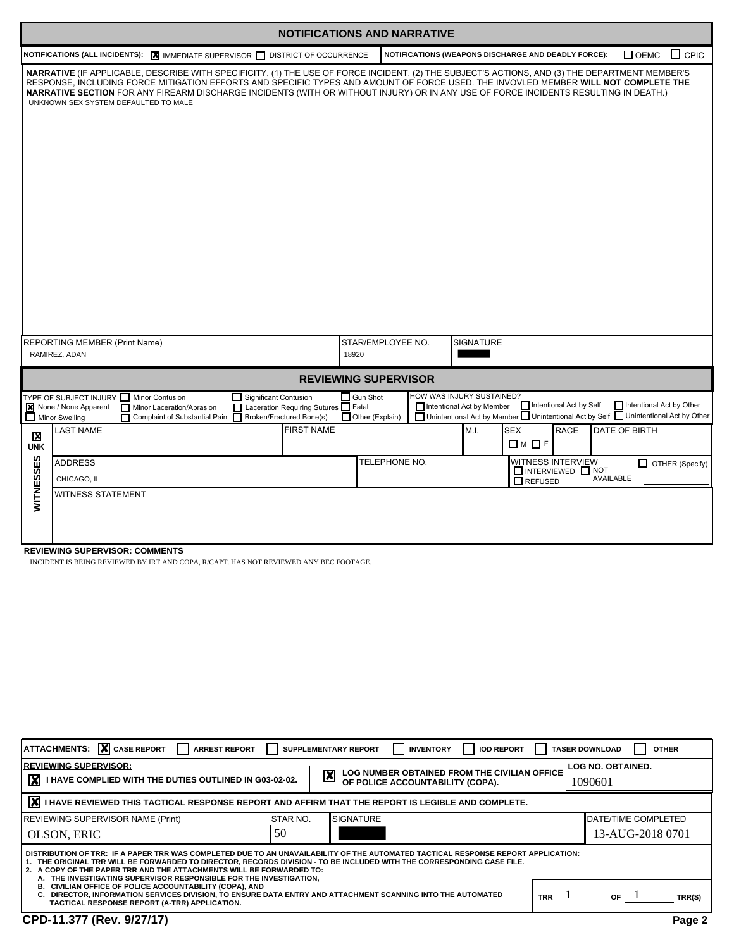| <b>NOTIFICATIONS AND NARRATIVE</b> |                                                                                                                                                                                                                                                                                                                                                                                                                                                                                                                                                                                                                                      |                           |                                  |                                                     |                                                |                                                                                                                    |  |  |
|------------------------------------|--------------------------------------------------------------------------------------------------------------------------------------------------------------------------------------------------------------------------------------------------------------------------------------------------------------------------------------------------------------------------------------------------------------------------------------------------------------------------------------------------------------------------------------------------------------------------------------------------------------------------------------|---------------------------|----------------------------------|-----------------------------------------------------|------------------------------------------------|--------------------------------------------------------------------------------------------------------------------|--|--|
|                                    | NOTIFICATIONS (ALL INCIDENTS): X IMMEDIATE SUPERVISOR I DISTRICT OF OCCURRENCE                                                                                                                                                                                                                                                                                                                                                                                                                                                                                                                                                       |                           |                                  | NOTIFICATIONS (WEAPONS DISCHARGE AND DEADLY FORCE): |                                                | $\Box$ CPIC<br>$\Box$ OEMC                                                                                         |  |  |
|                                    | NARRATIVE (IF APPLICABLE, DESCRIBE WITH SPECIFICITY, (1) THE USE OF FORCE INCIDENT, (2) THE SUBJECT'S ACTIONS, AND (3) THE DEPARTMENT MEMBER'S<br>RESPONSE, INCLUDING FORCE MITIGATION EFFORTS AND SPECIFIC TYPES AND AMOUNT OF FORCE USED. THE INVOVLED MEMBER WILL NOT COMPLETE THE<br>NARRATIVE SECTION FOR ANY FIREARM DISCHARGE INCIDENTS (WITH OR WITHOUT INJURY) OR IN ANY USE OF FORCE INCIDENTS RESULTING IN DEATH.)<br>UNKNOWN SEX SYSTEM DEFAULTED TO MALE                                                                                                                                                                |                           |                                  |                                                     |                                                |                                                                                                                    |  |  |
|                                    | REPORTING MEMBER (Print Name)<br>RAMIREZ, ADAN                                                                                                                                                                                                                                                                                                                                                                                                                                                                                                                                                                                       | 18920                     | STAR/EMPLOYEE NO.                | SIGNATURE                                           |                                                |                                                                                                                    |  |  |
|                                    |                                                                                                                                                                                                                                                                                                                                                                                                                                                                                                                                                                                                                                      |                           | <b>REVIEWING SUPERVISOR</b>      |                                                     |                                                |                                                                                                                    |  |  |
|                                    | TYPE OF SUBJECT INJURY Minor Contusion<br>Significant Contusion                                                                                                                                                                                                                                                                                                                                                                                                                                                                                                                                                                      | $\Box$ Gun Shot           |                                  | HOW WAS INJURY SUSTAINED?                           |                                                |                                                                                                                    |  |  |
|                                    | None / None Apparent<br>Laceration Requiring Sutures Fatal<br>Minor Laceration/Abrasion<br>Broken/Fractured Bone(s)<br>$\Box$ Minor Swelling<br>П<br>Complaint of Substantial Pain                                                                                                                                                                                                                                                                                                                                                                                                                                                   |                           | $\Box$ Other (Explain)           | Intentional Act by Member                           | Intentional Act by Self                        | Intentional Act by Other<br>□ Unintentional Act by Member □ Unintentional Act by Self □ Unintentional Act by Other |  |  |
| X                                  | <b>LAST NAME</b>                                                                                                                                                                                                                                                                                                                                                                                                                                                                                                                                                                                                                     | <b>FIRST NAME</b>         |                                  | M.I.<br>SEX<br>$\Box$ M $\Box$ F                    | <b>RACE</b>                                    | DATE OF BIRTH                                                                                                      |  |  |
| <b>UNK</b>                         | <b>ADDRESS</b>                                                                                                                                                                                                                                                                                                                                                                                                                                                                                                                                                                                                                       |                           | TELEPHONE NO.                    |                                                     | WITNESS INTERVIEW                              | OTHER (Specify)                                                                                                    |  |  |
|                                    | CHICAGO, IL                                                                                                                                                                                                                                                                                                                                                                                                                                                                                                                                                                                                                          |                           |                                  |                                                     | INTERVIEWED NOT<br>AVAILABLE<br>$\Box$ REFUSED |                                                                                                                    |  |  |
| WITNESSES                          | WITNESS STATEMENT                                                                                                                                                                                                                                                                                                                                                                                                                                                                                                                                                                                                                    |                           |                                  |                                                     |                                                |                                                                                                                    |  |  |
|                                    | <b>REVIEWING SUPERVISOR: COMMENTS</b><br>INCIDENT IS BEING REVIEWED BY IRT AND COPA, R/CAPT. HAS NOT REVIEWED ANY BEC FOOTAGE.                                                                                                                                                                                                                                                                                                                                                                                                                                                                                                       |                           |                                  |                                                     |                                                |                                                                                                                    |  |  |
|                                    | ATTACHMENTS: X CASE REPORT<br><b>ARREST REPORT</b>                                                                                                                                                                                                                                                                                                                                                                                                                                                                                                                                                                                   | SUPPLEMENTARY REPORT      | <b>INVENTORY</b>                 | <b>IOD REPORT</b>                                   | <b>TASER DOWNLOAD</b>                          | <b>OTHER</b>                                                                                                       |  |  |
|                                    | <b>REVIEWING SUPERVISOR:</b><br>I HAVE COMPLIED WITH THE DUTIES OUTLINED IN G03-02-02.                                                                                                                                                                                                                                                                                                                                                                                                                                                                                                                                               | $\boldsymbol{\mathsf{X}}$ | OF POLICE ACCOUNTABILITY (COPA). | LOG NUMBER OBTAINED FROM THE CIVILIAN OFFICE        | <b>LOG NO. OBTAINED.</b><br>1090601            |                                                                                                                    |  |  |
|                                    | X I HAVE REVIEWED THIS TACTICAL RESPONSE REPORT AND AFFIRM THAT THE REPORT IS LEGIBLE AND COMPLETE.                                                                                                                                                                                                                                                                                                                                                                                                                                                                                                                                  |                           |                                  |                                                     |                                                |                                                                                                                    |  |  |
|                                    | REVIEWING SUPERVISOR NAME (Print)<br>STAR NO.                                                                                                                                                                                                                                                                                                                                                                                                                                                                                                                                                                                        | <b>SIGNATURE</b>          |                                  |                                                     |                                                | DATE/TIME COMPLETED                                                                                                |  |  |
|                                    | 50<br>OLSON, ERIC                                                                                                                                                                                                                                                                                                                                                                                                                                                                                                                                                                                                                    |                           |                                  |                                                     |                                                | 13-AUG-2018 0701                                                                                                   |  |  |
|                                    | DISTRIBUTION OF TRR: IF A PAPER TRR WAS COMPLETED DUE TO AN UNAVAILABILITY OF THE AUTOMATED TACTICAL RESPONSE REPORT APPLICATION:<br>1. THE ORIGINAL TRR WILL BE FORWARDED TO DIRECTOR, RECORDS DIVISION - TO BE INCLUDED WITH THE CORRESPONDING CASE FILE.<br>2. A COPY OF THE PAPER TRR AND THE ATTACHMENTS WILL BE FORWARDED TO:<br>A. THE INVESTIGATING SUPERVISOR RESPONSIBLE FOR THE INVESTIGATION,<br>B. CIVILIAN OFFICE OF POLICE ACCOUNTABILITY (COPA), AND<br>C. DIRECTOR, INFORMATION SERVICES DIVISION, TO ENSURE DATA ENTRY AND ATTACHMENT SCANNING INTO THE AUTOMATED<br>TACTICAL RESPONSE REPORT (A-TRR) APPLICATION. |                           |                                  |                                                     | TRR $1$                                        | or 1<br>TRR(S)                                                                                                     |  |  |
|                                    | CPD-11.377 (Rev. 9/27/17)                                                                                                                                                                                                                                                                                                                                                                                                                                                                                                                                                                                                            |                           |                                  |                                                     |                                                | Page 2                                                                                                             |  |  |